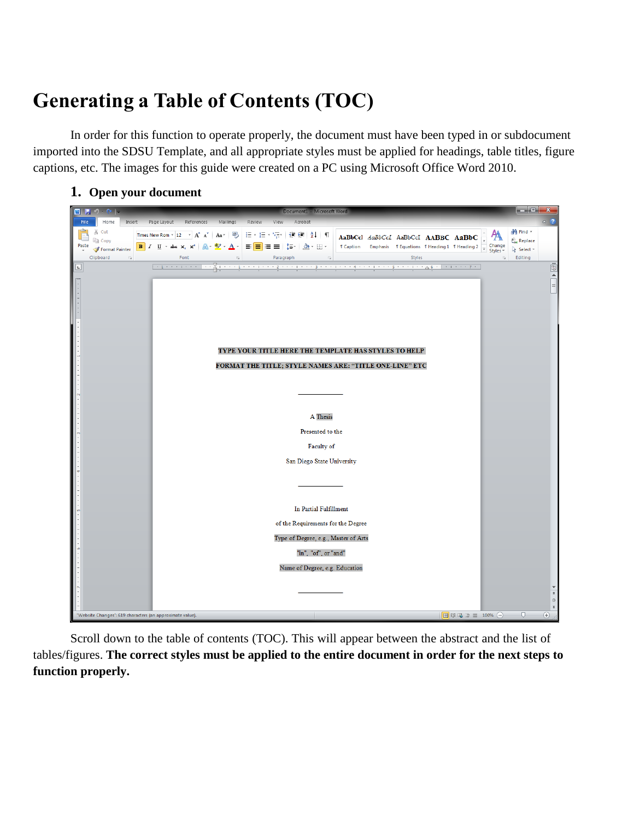# **Generating a Table of Contents (TOC)**

In order for this function to operate properly, the document must have been typed in or subdocument imported into the SDSU Template, and all appropriate styles must be applied for headings, table titles, figure captions, etc. The images for this guide were created on a PC using Microsoft Office Word 2010.

**1. Open your document**



Scroll down to the table of contents (TOC). This will appear between the abstract and the list of tables/figures. **The correct styles must be applied to the entire document in order for the next steps to function properly.**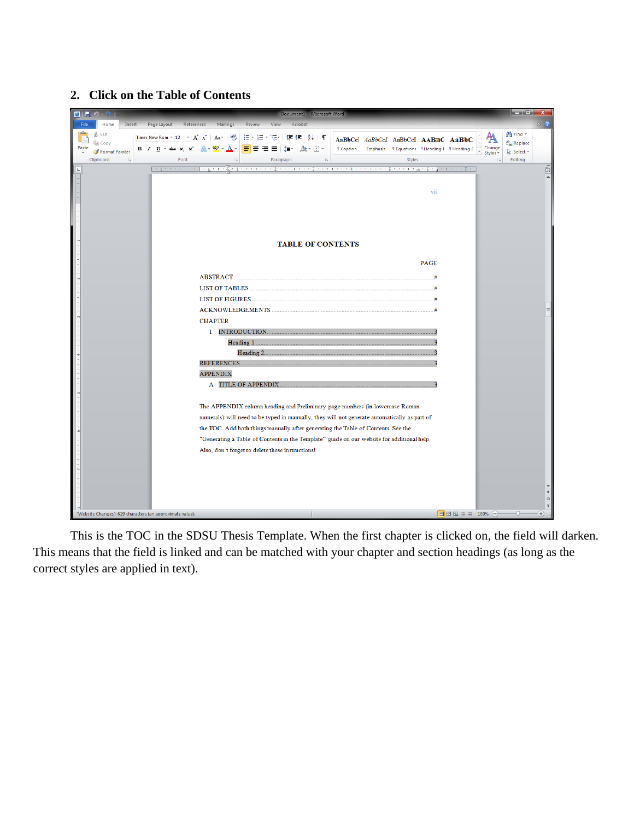## **2. Click on the Table of Contents**



This is the TOC in the SDSU Thesis Template. When the first chapter is clicked on, the field will darken. This means that the field is linked and can be matched with your chapter and section headings (as long as the correct styles are applied in text).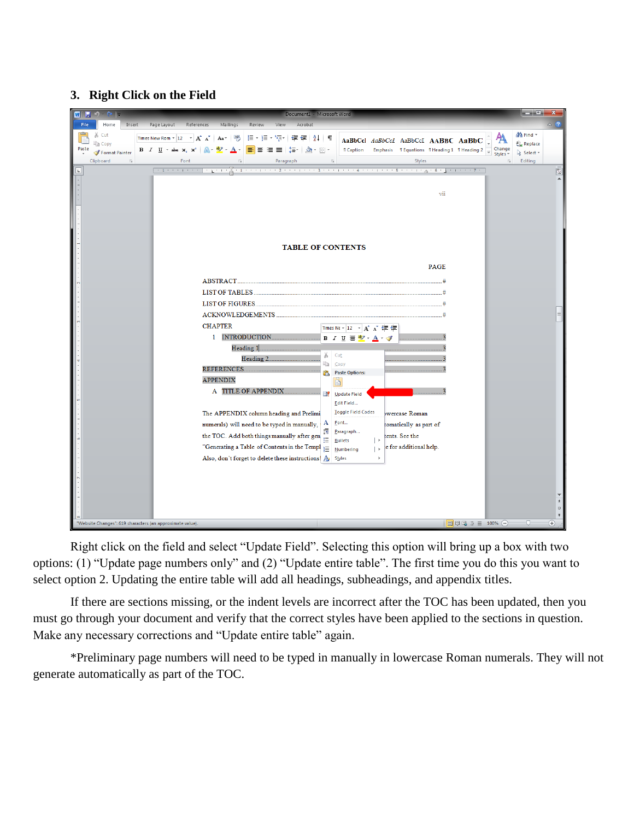# **3. Right Click on the Field**

![](_page_2_Picture_1.jpeg)

Right click on the field and select "Update Field". Selecting this option will bring up a box with two options: (1) "Update page numbers only" and (2) "Update entire table". The first time you do this you want to select option 2. Updating the entire table will add all headings, subheadings, and appendix titles.

If there are sections missing, or the indent levels are incorrect after the TOC has been updated, then you must go through your document and verify that the correct styles have been applied to the sections in question. Make any necessary corrections and "Update entire table" again.

\*Preliminary page numbers will need to be typed in manually in lowercase Roman numerals. They will not generate automatically as part of the TOC.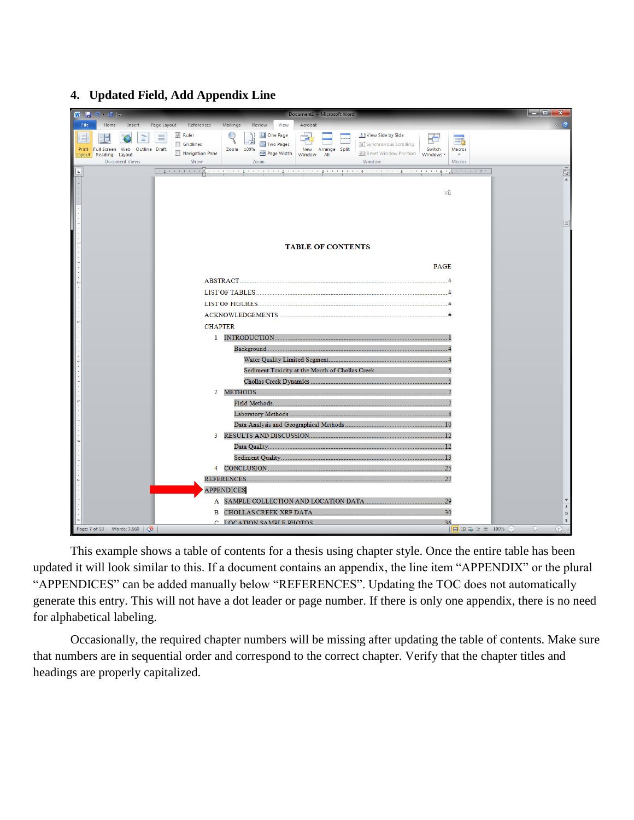#### **4. Updated Field, Add Appendix Line**

![](_page_3_Picture_1.jpeg)

This example shows a table of contents for a thesis using chapter style. Once the entire table has been updated it will look similar to this. If a document contains an appendix, the line item "APPENDIX" or the plural "APPENDICES" can be added manually below "REFERENCES". Updating the TOC does not automatically generate this entry. This will not have a dot leader or page number. If there is only one appendix, there is no need for alphabetical labeling.

Occasionally, the required chapter numbers will be missing after updating the table of contents. Make sure that numbers are in sequential order and correspond to the correct chapter. Verify that the chapter titles and headings are properly capitalized.